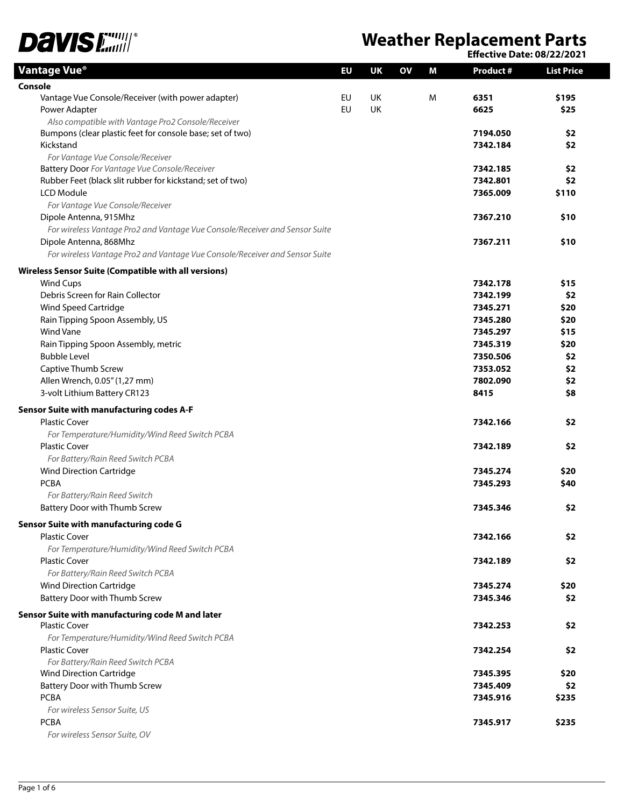

## **Weather Replacement Parts**

**Effective Date: 08/22/2021**

| Vantage Vue®                                                                | EU        | UK        | OV | Μ | <b>Product #</b> | <b>List Price</b> |
|-----------------------------------------------------------------------------|-----------|-----------|----|---|------------------|-------------------|
| Console                                                                     |           |           |    |   |                  |                   |
| Vantage Vue Console/Receiver (with power adapter)                           | EU        | <b>UK</b> |    | M | 6351             | \$195             |
| Power Adapter                                                               | <b>EU</b> | <b>UK</b> |    |   | 6625             | \$25              |
| Also compatible with Vantage Pro2 Console/Receiver                          |           |           |    |   |                  |                   |
| Bumpons (clear plastic feet for console base; set of two)                   |           |           |    |   | 7194.050         | \$2               |
| Kickstand                                                                   |           |           |    |   | 7342.184         | \$2               |
| For Vantage Vue Console/Receiver                                            |           |           |    |   |                  |                   |
| Battery Door For Vantage Vue Console/Receiver                               |           |           |    |   | 7342.185         | \$2               |
| Rubber Feet (black slit rubber for kickstand; set of two)                   |           |           |    |   | 7342.801         | \$2               |
| LCD Module                                                                  |           |           |    |   | 7365.009         | \$110             |
| For Vantage Vue Console/Receiver                                            |           |           |    |   |                  |                   |
| Dipole Antenna, 915Mhz                                                      |           |           |    |   | 7367.210         | \$10              |
| For wireless Vantage Pro2 and Vantage Vue Console/Receiver and Sensor Suite |           |           |    |   |                  |                   |
| Dipole Antenna, 868Mhz                                                      |           |           |    |   | 7367.211         | \$10              |
| For wireless Vantage Pro2 and Vantage Vue Console/Receiver and Sensor Suite |           |           |    |   |                  |                   |
| Wireless Sensor Suite (Compatible with all versions)                        |           |           |    |   |                  |                   |
| <b>Wind Cups</b>                                                            |           |           |    |   | 7342.178         | \$15              |
| Debris Screen for Rain Collector                                            |           |           |    |   | 7342.199         | \$2               |
| Wind Speed Cartridge                                                        |           |           |    |   | 7345.271         | \$20              |
| Rain Tipping Spoon Assembly, US                                             |           |           |    |   | 7345.280         | \$20              |
| <b>Wind Vane</b>                                                            |           |           |    |   | 7345.297         | \$15              |
| Rain Tipping Spoon Assembly, metric                                         |           |           |    |   | 7345.319         | \$20              |
| <b>Bubble Level</b>                                                         |           |           |    |   | 7350.506         | \$2               |
| Captive Thumb Screw                                                         |           |           |    |   | 7353.052         | \$2               |
| Allen Wrench, 0.05" (1,27 mm)                                               |           |           |    |   | 7802.090         | \$2               |
| 3-volt Lithium Battery CR123                                                |           |           |    |   | 8415             | \$8               |
| Sensor Suite with manufacturing codes A-F                                   |           |           |    |   |                  |                   |
| <b>Plastic Cover</b>                                                        |           |           |    |   | 7342.166         | \$2               |
| For Temperature/Humidity/Wind Reed Switch PCBA                              |           |           |    |   |                  |                   |
| <b>Plastic Cover</b>                                                        |           |           |    |   | 7342.189         | \$2               |
| For Battery/Rain Reed Switch PCBA                                           |           |           |    |   |                  |                   |
| <b>Wind Direction Cartridge</b>                                             |           |           |    |   | 7345.274         | \$20              |
| <b>PCBA</b>                                                                 |           |           |    |   | 7345.293         | \$40              |
| For Battery/Rain Reed Switch                                                |           |           |    |   |                  |                   |
| Battery Door with Thumb Screw                                               |           |           |    |   | 7345.346         | \$2               |
| Sensor Suite with manufacturing code G                                      |           |           |    |   |                  |                   |
| <b>Plastic Cover</b>                                                        |           |           |    |   | 7342.166         | \$2               |
| For Temperature/Humidity/Wind Reed Switch PCBA                              |           |           |    |   |                  |                   |
| <b>Plastic Cover</b>                                                        |           |           |    |   | 7342.189         | \$2               |
| For Battery/Rain Reed Switch PCBA                                           |           |           |    |   |                  |                   |
| <b>Wind Direction Cartridge</b>                                             |           |           |    |   | 7345.274         | \$20              |
| Battery Door with Thumb Screw                                               |           |           |    |   | 7345.346         | \$2               |
|                                                                             |           |           |    |   |                  |                   |
| Sensor Suite with manufacturing code M and later<br><b>Plastic Cover</b>    |           |           |    |   | 7342.253         | \$2               |
| For Temperature/Humidity/Wind Reed Switch PCBA                              |           |           |    |   |                  |                   |
| <b>Plastic Cover</b>                                                        |           |           |    |   | 7342.254         | \$2               |
| For Battery/Rain Reed Switch PCBA                                           |           |           |    |   |                  |                   |
| <b>Wind Direction Cartridge</b>                                             |           |           |    |   | 7345.395         | \$20              |
| Battery Door with Thumb Screw                                               |           |           |    |   | 7345.409         | \$2               |
| <b>PCBA</b>                                                                 |           |           |    |   | 7345.916         | \$235             |
| For wireless Sensor Suite, US                                               |           |           |    |   |                  |                   |
| <b>PCBA</b>                                                                 |           |           |    |   | 7345.917         | \$235             |
| For wireless Sensor Suite, OV                                               |           |           |    |   |                  |                   |
|                                                                             |           |           |    |   |                  |                   |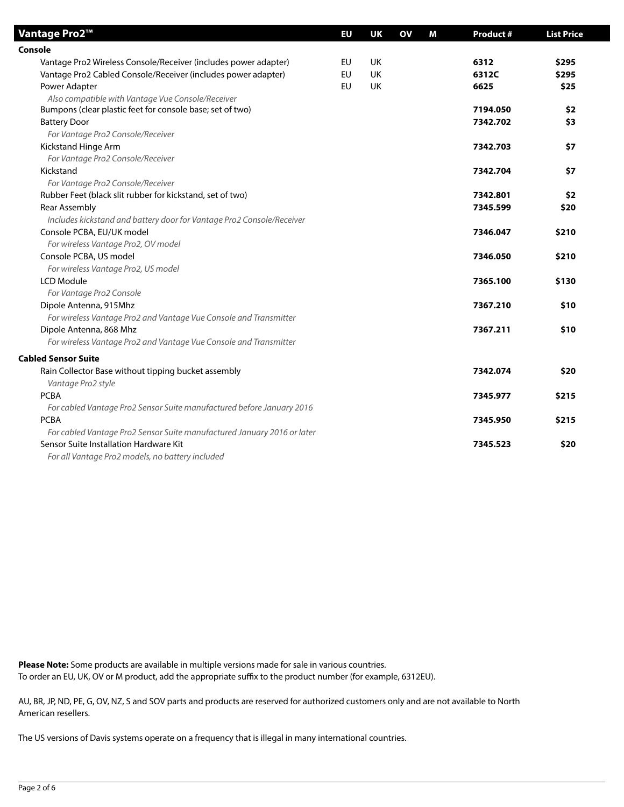| Vantage Pro2™                                                           | EU | <b>UK</b> | OV | М | <b>Product#</b> | <b>List Price</b> |
|-------------------------------------------------------------------------|----|-----------|----|---|-----------------|-------------------|
| Console                                                                 |    |           |    |   |                 |                   |
| Vantage Pro2 Wireless Console/Receiver (includes power adapter)         | EU | <b>UK</b> |    |   | 6312            | \$295             |
| Vantage Pro2 Cabled Console/Receiver (includes power adapter)           | EU | <b>UK</b> |    |   | 6312C           | \$295             |
| Power Adapter                                                           | EU | <b>UK</b> |    |   | 6625            | \$25              |
| Also compatible with Vantage Vue Console/Receiver                       |    |           |    |   |                 |                   |
| Bumpons (clear plastic feet for console base; set of two)               |    |           |    |   | 7194.050        | \$2               |
| <b>Battery Door</b>                                                     |    |           |    |   | 7342.702        | \$3               |
| For Vantage Pro2 Console/Receiver                                       |    |           |    |   |                 |                   |
| Kickstand Hinge Arm                                                     |    |           |    |   | 7342.703        | \$7               |
| For Vantage Pro2 Console/Receiver                                       |    |           |    |   |                 |                   |
| Kickstand                                                               |    |           |    |   | 7342.704        | \$7               |
| For Vantage Pro2 Console/Receiver                                       |    |           |    |   |                 |                   |
| Rubber Feet (black slit rubber for kickstand, set of two)               |    |           |    |   | 7342.801        | \$2               |
| Rear Assembly                                                           |    |           |    |   | 7345.599        | \$20              |
| Includes kickstand and battery door for Vantage Pro2 Console/Receiver   |    |           |    |   |                 |                   |
| Console PCBA, EU/UK model                                               |    |           |    |   | 7346.047        | \$210             |
| For wireless Vantage Pro2, OV model                                     |    |           |    |   |                 |                   |
| Console PCBA, US model                                                  |    |           |    |   | 7346.050        | \$210             |
| For wireless Vantage Pro2, US model                                     |    |           |    |   |                 |                   |
| <b>LCD Module</b>                                                       |    |           |    |   | 7365.100        | \$130             |
| For Vantage Pro2 Console                                                |    |           |    |   |                 |                   |
| Dipole Antenna, 915Mhz                                                  |    |           |    |   | 7367.210        | \$10              |
| For wireless Vantage Pro2 and Vantage Vue Console and Transmitter       |    |           |    |   |                 |                   |
| Dipole Antenna, 868 Mhz                                                 |    |           |    |   | 7367.211        | \$10              |
| For wireless Vantage Pro2 and Vantage Vue Console and Transmitter       |    |           |    |   |                 |                   |
| Cabled Sensor Suite                                                     |    |           |    |   |                 |                   |
| Rain Collector Base without tipping bucket assembly                     |    |           |    |   | 7342.074        | \$20              |
| Vantage Pro2 style                                                      |    |           |    |   |                 |                   |
| <b>PCBA</b>                                                             |    |           |    |   | 7345.977        | \$215             |
| For cabled Vantage Pro2 Sensor Suite manufactured before January 2016   |    |           |    |   |                 |                   |
| <b>PCBA</b>                                                             |    |           |    |   | 7345.950        | \$215             |
| For cabled Vantage Pro2 Sensor Suite manufactured January 2016 or later |    |           |    |   |                 |                   |
| Sensor Suite Installation Hardware Kit                                  |    |           |    |   | 7345.523        | \$20              |
| For all Vantage Pro2 models, no battery included                        |    |           |    |   |                 |                   |

**Please Note:** Some products are available in multiple versions made for sale in various countries. To order an EU, UK, OV or M product, add the appropriate suffix to the product number (for example, 6312EU).

AU, BR, JP, ND, PE, G, OV, NZ, S and SOV parts and products are reserved for authorized customers only and are not available to North American resellers.

The US versions of Davis systems operate on a frequency that is illegal in many international countries.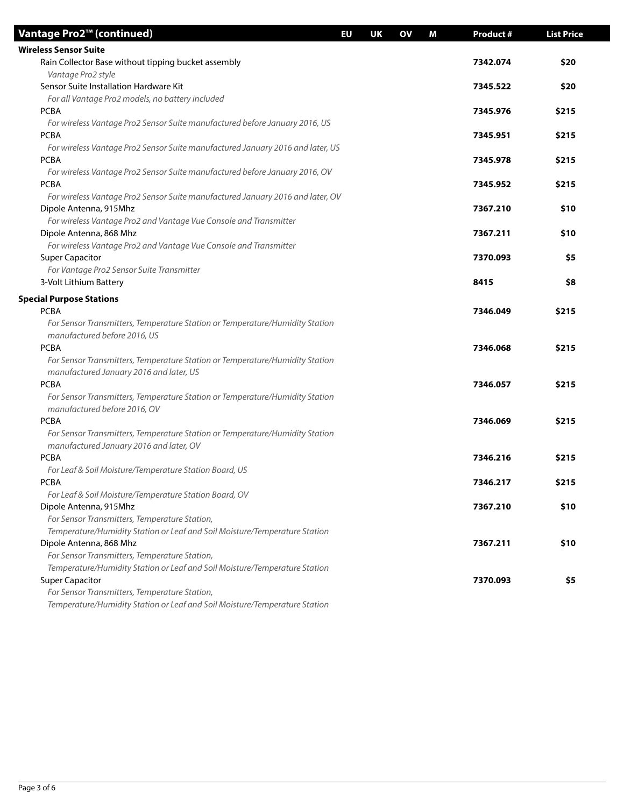| Vantage Pro2™ (continued)                                                                   | EU | UK | OV | M | <b>Product #</b> | <b>List Price</b> |
|---------------------------------------------------------------------------------------------|----|----|----|---|------------------|-------------------|
| <b>Wireless Sensor Suite</b>                                                                |    |    |    |   |                  |                   |
| Rain Collector Base without tipping bucket assembly                                         |    |    |    |   | 7342.074         | \$20              |
| Vantage Pro2 style                                                                          |    |    |    |   |                  |                   |
| Sensor Suite Installation Hardware Kit                                                      |    |    |    |   | 7345.522         | \$20              |
| For all Vantage Pro2 models, no battery included                                            |    |    |    |   |                  |                   |
| <b>PCBA</b>                                                                                 |    |    |    |   | 7345.976         | \$215             |
| For wireless Vantage Pro2 Sensor Suite manufactured before January 2016, US                 |    |    |    |   |                  |                   |
| <b>PCBA</b>                                                                                 |    |    |    |   | 7345.951         | \$215             |
| For wireless Vantage Pro2 Sensor Suite manufactured January 2016 and later, US              |    |    |    |   |                  |                   |
| <b>PCBA</b>                                                                                 |    |    |    |   | 7345.978         | \$215             |
| For wireless Vantage Pro2 Sensor Suite manufactured before January 2016, OV                 |    |    |    |   |                  |                   |
| <b>PCBA</b>                                                                                 |    |    |    |   | 7345.952         | \$215             |
| For wireless Vantage Pro2 Sensor Suite manufactured January 2016 and later, OV              |    |    |    |   |                  |                   |
| Dipole Antenna, 915Mhz                                                                      |    |    |    |   | 7367.210         | \$10              |
| For wireless Vantage Pro2 and Vantage Vue Console and Transmitter                           |    |    |    |   |                  |                   |
| Dipole Antenna, 868 Mhz                                                                     |    |    |    |   | 7367.211         | \$10              |
| For wireless Vantage Pro2 and Vantage Vue Console and Transmitter<br><b>Super Capacitor</b> |    |    |    |   | 7370.093         | \$5               |
| For Vantage Pro2 Sensor Suite Transmitter                                                   |    |    |    |   |                  |                   |
| 3-Volt Lithium Battery                                                                      |    |    |    |   | 8415             | \$8               |
|                                                                                             |    |    |    |   |                  |                   |
| <b>Special Purpose Stations</b>                                                             |    |    |    |   |                  |                   |
| <b>PCBA</b>                                                                                 |    |    |    |   | 7346.049         | \$215             |
| For Sensor Transmitters, Temperature Station or Temperature/Humidity Station                |    |    |    |   |                  |                   |
| manufactured before 2016, US                                                                |    |    |    |   |                  |                   |
| <b>PCBA</b>                                                                                 |    |    |    |   | 7346.068         | \$215             |
| For Sensor Transmitters, Temperature Station or Temperature/Humidity Station                |    |    |    |   |                  |                   |
| manufactured January 2016 and later, US<br><b>PCBA</b>                                      |    |    |    |   | 7346.057         | \$215             |
| For Sensor Transmitters, Temperature Station or Temperature/Humidity Station                |    |    |    |   |                  |                   |
| manufactured before 2016, OV                                                                |    |    |    |   |                  |                   |
| <b>PCBA</b>                                                                                 |    |    |    |   | 7346.069         | \$215             |
| For Sensor Transmitters, Temperature Station or Temperature/Humidity Station                |    |    |    |   |                  |                   |
| manufactured January 2016 and later, OV                                                     |    |    |    |   |                  |                   |
| <b>PCBA</b>                                                                                 |    |    |    |   | 7346.216         | \$215             |
| For Leaf & Soil Moisture/Temperature Station Board, US                                      |    |    |    |   |                  |                   |
| <b>PCBA</b>                                                                                 |    |    |    |   | 7346.217         | \$215             |
| For Leaf & Soil Moisture/Temperature Station Board, OV                                      |    |    |    |   |                  |                   |
| Dipole Antenna, 915Mhz                                                                      |    |    |    |   | 7367.210         | \$10              |
| For Sensor Transmitters, Temperature Station,                                               |    |    |    |   |                  |                   |
| Temperature/Humidity Station or Leaf and Soil Moisture/Temperature Station                  |    |    |    |   |                  |                   |
| Dipole Antenna, 868 Mhz                                                                     |    |    |    |   | 7367.211         | \$10              |
| For Sensor Transmitters, Temperature Station,                                               |    |    |    |   |                  |                   |
| Temperature/Humidity Station or Leaf and Soil Moisture/Temperature Station                  |    |    |    |   |                  |                   |
| <b>Super Capacitor</b>                                                                      |    |    |    |   | 7370.093         | \$5               |
| For Sensor Transmitters, Temperature Station,                                               |    |    |    |   |                  |                   |
| Temperature/Humidity Station or Leaf and Soil Moisture/Temperature Station                  |    |    |    |   |                  |                   |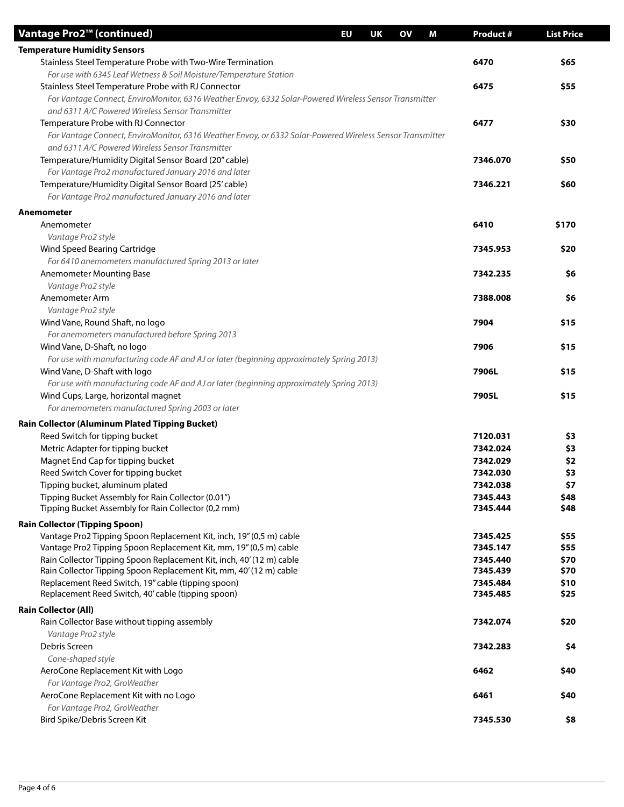| Vantage Pro2™ (continued)                                                                                                                  | EU | <b>UK</b> | OV | M | <b>Product#</b>      | <b>List Price</b> |
|--------------------------------------------------------------------------------------------------------------------------------------------|----|-----------|----|---|----------------------|-------------------|
| <b>Temperature Humidity Sensors</b>                                                                                                        |    |           |    |   |                      |                   |
| Stainless Steel Temperature Probe with Two-Wire Termination                                                                                |    |           |    |   | 6470                 | \$65              |
| For use with 6345 Leaf Wetness & Soil Moisture/Temperature Station                                                                         |    |           |    |   |                      |                   |
| Stainless Steel Temperature Probe with RJ Connector                                                                                        |    |           |    |   | 6475                 | \$55              |
| For Vantage Connect, EnviroMonitor, 6316 Weather Envoy, 6332 Solar-Powered Wireless Sensor Transmitter                                     |    |           |    |   |                      |                   |
| and 6311 A/C Powered Wireless Sensor Transmitter                                                                                           |    |           |    |   |                      |                   |
| Temperature Probe with RJ Connector                                                                                                        |    |           |    |   | 6477                 | \$30              |
| For Vantage Connect, EnviroMonitor, 6316 Weather Envoy, or 6332 Solar-Powered Wireless Sensor Transmitter                                  |    |           |    |   |                      |                   |
| and 6311 A/C Powered Wireless Sensor Transmitter                                                                                           |    |           |    |   |                      |                   |
| Temperature/Humidity Digital Sensor Board (20" cable)                                                                                      |    |           |    |   | 7346.070             | \$50              |
| For Vantage Pro2 manufactured January 2016 and later                                                                                       |    |           |    |   |                      |                   |
| Temperature/Humidity Digital Sensor Board (25' cable)                                                                                      |    |           |    |   | 7346.221             | \$60              |
| For Vantage Pro2 manufactured January 2016 and later                                                                                       |    |           |    |   |                      |                   |
| Anemometer                                                                                                                                 |    |           |    |   |                      |                   |
| Anemometer                                                                                                                                 |    |           |    |   | 6410                 | \$170             |
| Vantage Pro2 style                                                                                                                         |    |           |    |   |                      |                   |
| Wind Speed Bearing Cartridge                                                                                                               |    |           |    |   | 7345.953             | \$20              |
| For 6410 anemometers manufactured Spring 2013 or later                                                                                     |    |           |    |   |                      |                   |
| <b>Anemometer Mounting Base</b>                                                                                                            |    |           |    |   | 7342.235             | \$6               |
| Vantage Pro2 style<br>Anemometer Arm                                                                                                       |    |           |    |   | 7388.008             | \$6               |
| Vantage Pro2 style                                                                                                                         |    |           |    |   |                      |                   |
| Wind Vane, Round Shaft, no logo                                                                                                            |    |           |    |   | 7904                 | \$15              |
| For anemometers manufactured before Spring 2013                                                                                            |    |           |    |   |                      |                   |
| Wind Vane, D-Shaft, no logo                                                                                                                |    |           |    |   | 7906                 | \$15              |
| For use with manufacturing code AF and AJ or later (beginning approximately Spring 2013)                                                   |    |           |    |   |                      |                   |
| Wind Vane, D-Shaft with logo                                                                                                               |    |           |    |   | 7906L                | \$15              |
| For use with manufacturing code AF and AJ or later (beginning approximately Spring 2013)                                                   |    |           |    |   |                      |                   |
| Wind Cups, Large, horizontal magnet                                                                                                        |    |           |    |   | 7905L                | \$15              |
| For anemometers manufactured Spring 2003 or later                                                                                          |    |           |    |   |                      |                   |
| <b>Rain Collector (Aluminum Plated Tipping Bucket)</b>                                                                                     |    |           |    |   |                      |                   |
| Reed Switch for tipping bucket                                                                                                             |    |           |    |   | 7120.031             | \$3               |
| Metric Adapter for tipping bucket                                                                                                          |    |           |    |   | 7342.024             | \$3               |
| Magnet End Cap for tipping bucket                                                                                                          |    |           |    |   | 7342.029             | \$2               |
| Reed Switch Cover for tipping bucket                                                                                                       |    |           |    |   | 7342.030             | \$3               |
| Tipping bucket, aluminum plated                                                                                                            |    |           |    |   | 7342.038             | Ş7                |
| Tipping Bucket Assembly for Rain Collector (0.01")                                                                                         |    |           |    |   | 7345.443             | \$48              |
| Tipping Bucket Assembly for Rain Collector (0,2 mm)                                                                                        |    |           |    |   | 7345.444             | \$48              |
| <b>Rain Collector (Tipping Spoon)</b>                                                                                                      |    |           |    |   |                      |                   |
| Vantage Pro2 Tipping Spoon Replacement Kit, inch, 19" (0,5 m) cable                                                                        |    |           |    |   | 7345.425             | \$55              |
| Vantage Pro2 Tipping Spoon Replacement Kit, mm, 19" (0,5 m) cable                                                                          |    |           |    |   | 7345.147             | \$55              |
| Rain Collector Tipping Spoon Replacement Kit, inch, 40' (12 m) cable<br>Rain Collector Tipping Spoon Replacement Kit, mm, 40' (12 m) cable |    |           |    |   | 7345.440<br>7345.439 | \$70<br>\$70      |
| Replacement Reed Switch, 19" cable (tipping spoon)                                                                                         |    |           |    |   | 7345.484             | \$10              |
| Replacement Reed Switch, 40' cable (tipping spoon)                                                                                         |    |           |    |   | 7345.485             | \$25              |
| <b>Rain Collector (All)</b>                                                                                                                |    |           |    |   |                      |                   |
| Rain Collector Base without tipping assembly                                                                                               |    |           |    |   | 7342.074             | \$20              |
| Vantage Pro2 style                                                                                                                         |    |           |    |   |                      |                   |
| Debris Screen                                                                                                                              |    |           |    |   | 7342.283             | \$4               |
| Cone-shaped style                                                                                                                          |    |           |    |   |                      |                   |
| AeroCone Replacement Kit with Logo                                                                                                         |    |           |    |   | 6462                 | \$40              |
| For Vantage Pro2, GroWeather                                                                                                               |    |           |    |   |                      |                   |
| AeroCone Replacement Kit with no Logo                                                                                                      |    |           |    |   | 6461                 | \$40              |
| For Vantage Pro2, GroWeather                                                                                                               |    |           |    |   |                      |                   |
| Bird Spike/Debris Screen Kit                                                                                                               |    |           |    |   | 7345.530             | \$8               |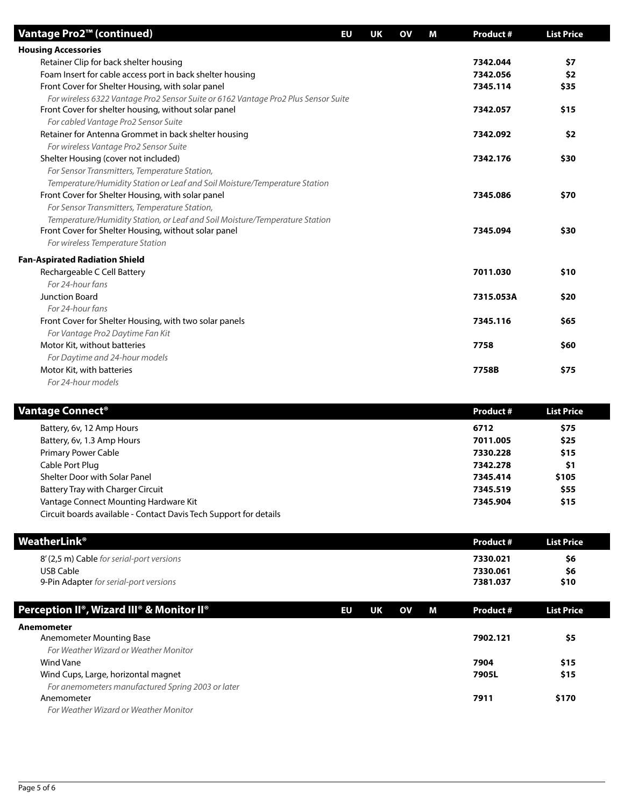| Vantage Pro2™ (continued)                                                          | EU | UK | <b>OV</b> | М | <b>Product #</b> | <b>List Price</b> |
|------------------------------------------------------------------------------------|----|----|-----------|---|------------------|-------------------|
| <b>Housing Accessories</b>                                                         |    |    |           |   |                  |                   |
| Retainer Clip for back shelter housing                                             |    |    |           |   | 7342.044         | \$7               |
| Foam Insert for cable access port in back shelter housing                          |    |    |           |   | 7342.056         | \$2               |
| Front Cover for Shelter Housing, with solar panel                                  |    |    |           |   | 7345.114         | \$35              |
| For wireless 6322 Vantage Pro2 Sensor Suite or 6162 Vantage Pro2 Plus Sensor Suite |    |    |           |   |                  |                   |
| Front Cover for shelter housing, without solar panel                               |    |    |           |   | 7342.057         | \$15              |
| For cabled Vantage Pro2 Sensor Suite                                               |    |    |           |   |                  |                   |
| Retainer for Antenna Grommet in back shelter housing                               |    |    |           |   | 7342.092         | \$2               |
| For wireless Vantage Pro2 Sensor Suite                                             |    |    |           |   |                  |                   |
| Shelter Housing (cover not included)                                               |    |    |           |   | 7342.176         | \$30              |
| For Sensor Transmitters, Temperature Station,                                      |    |    |           |   |                  |                   |
| Temperature/Humidity Station or Leaf and Soil Moisture/Temperature Station         |    |    |           |   |                  |                   |
| Front Cover for Shelter Housing, with solar panel                                  |    |    |           |   | 7345.086         | \$70              |
| For Sensor Transmitters, Temperature Station,                                      |    |    |           |   |                  |                   |
| Temperature/Humidity Station, or Leaf and Soil Moisture/Temperature Station        |    |    |           |   |                  |                   |
| Front Cover for Shelter Housing, without solar panel                               |    |    |           |   | 7345.094         | \$30              |
| For wireless Temperature Station                                                   |    |    |           |   |                  |                   |
| <b>Fan-Aspirated Radiation Shield</b>                                              |    |    |           |   |                  |                   |
| Rechargeable C Cell Battery                                                        |    |    |           |   | 7011.030         | \$10              |
| For 24-hour fans                                                                   |    |    |           |   |                  |                   |
| <b>Junction Board</b>                                                              |    |    |           |   | 7315.053A        | \$20              |
| For 24-hour fans                                                                   |    |    |           |   |                  |                   |
| Front Cover for Shelter Housing, with two solar panels                             |    |    |           |   | 7345.116         | \$65              |
| For Vantage Pro2 Daytime Fan Kit                                                   |    |    |           |   |                  |                   |
| Motor Kit, without batteries                                                       |    |    |           |   | 7758             | \$60              |
| For Daytime and 24-hour models                                                     |    |    |           |   |                  |                   |
| Motor Kit, with batteries                                                          |    |    |           |   | 7758B            | \$75              |
| For 24-hour models                                                                 |    |    |           |   |                  |                   |

| Vantage Connect®                                                  | <b>Product #</b> | <b>List Price</b> |  |
|-------------------------------------------------------------------|------------------|-------------------|--|
| Battery, 6v, 12 Amp Hours                                         | 6712             | \$75              |  |
| Battery, 6v, 1.3 Amp Hours                                        | 7011.005         | \$25              |  |
| <b>Primary Power Cable</b>                                        | 7330.228         | \$15              |  |
| Cable Port Plug                                                   | 7342.278         | \$1               |  |
| Shelter Door with Solar Panel                                     | 7345.414         | \$105             |  |
| <b>Battery Tray with Charger Circuit</b>                          | 7345.519         | \$55              |  |
| Vantage Connect Mounting Hardware Kit                             | 7345.904         | \$15              |  |
| Circuit boards available - Contact Davis Tech Support for details |                  |                   |  |

| WeatherLink®                              | Product # | <b>List Price</b> |  |
|-------------------------------------------|-----------|-------------------|--|
| 8' (2,5 m) Cable for serial-port versions | 7330.021  | \$6               |  |
| USB Cable                                 | 7330.061  | \$6               |  |
| 9-Pin Adapter for serial-port versions    | 7381.037  | \$10              |  |
|                                           |           |                   |  |

| Perception II®, Wizard III® & M <u>onitor II®'</u> | EU | UK | <b>OV</b> | М | Product # | <b>List Price</b> |  |
|----------------------------------------------------|----|----|-----------|---|-----------|-------------------|--|
| Anemometer                                         |    |    |           |   |           |                   |  |
| Anemometer Mounting Base                           |    |    |           |   | 7902.121  | \$5               |  |
| For Weather Wizard or Weather Monitor              |    |    |           |   |           |                   |  |
| Wind Vane                                          |    |    |           |   | 7904      | \$15              |  |
| Wind Cups, Large, horizontal magnet                |    |    |           |   | 7905L     | \$15              |  |
| For anemometers manufactured Spring 2003 or later  |    |    |           |   |           |                   |  |
| Anemometer                                         |    |    |           |   | 7911      | \$170             |  |
| For Weather Wizard or Weather Monitor              |    |    |           |   |           |                   |  |